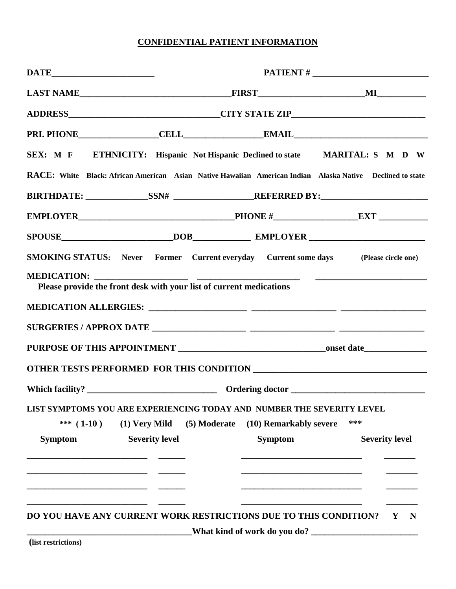# **CONFIDENTIAL PATIENT INFORMATION**

|                    |                                                                     |                                                                        | ADDRESS_______________________________CITY STATE ZIP____________________________                          |  |  |  |  |
|--------------------|---------------------------------------------------------------------|------------------------------------------------------------------------|-----------------------------------------------------------------------------------------------------------|--|--|--|--|
|                    |                                                                     |                                                                        |                                                                                                           |  |  |  |  |
|                    |                                                                     |                                                                        | SEX: M F ETHNICITY: Hispanic Not Hispanic Declined to state MARITAL: S M D W                              |  |  |  |  |
|                    |                                                                     |                                                                        | RACE: White Black: African American Asian Native Hawaiian American Indian Alaska Native Declined to state |  |  |  |  |
|                    |                                                                     |                                                                        |                                                                                                           |  |  |  |  |
|                    |                                                                     |                                                                        |                                                                                                           |  |  |  |  |
|                    |                                                                     |                                                                        | SPOUSE DOB EMPLOYER                                                                                       |  |  |  |  |
|                    |                                                                     |                                                                        | <b>SMOKING STATUS:</b> Never Former Current everyday Current some days (Please circle one)                |  |  |  |  |
| <b>MEDICATION:</b> | Please provide the front desk with your list of current medications |                                                                        |                                                                                                           |  |  |  |  |
|                    |                                                                     |                                                                        |                                                                                                           |  |  |  |  |
|                    |                                                                     |                                                                        |                                                                                                           |  |  |  |  |
|                    |                                                                     |                                                                        |                                                                                                           |  |  |  |  |
|                    |                                                                     |                                                                        |                                                                                                           |  |  |  |  |
|                    |                                                                     |                                                                        |                                                                                                           |  |  |  |  |
|                    |                                                                     | LIST SYMPTOMS YOU ARE EXPERIENCING TODAY AND NUMBER THE SEVERITY LEVEL |                                                                                                           |  |  |  |  |
| *** $(1-10)$       | (1) Very Mild                                                       | (5) Moderate<br>(10) Remarkably severe                                 | ***                                                                                                       |  |  |  |  |
| <b>Symptom</b>     | <b>Severity level</b>                                               | <b>Symptom</b>                                                         | <b>Severity level</b>                                                                                     |  |  |  |  |
|                    |                                                                     |                                                                        |                                                                                                           |  |  |  |  |
|                    |                                                                     |                                                                        |                                                                                                           |  |  |  |  |
|                    |                                                                     |                                                                        |                                                                                                           |  |  |  |  |
|                    |                                                                     | DO YOU HAVE ANY CURRENT WORK RESTRICTIONS DUE TO THIS CONDITION?       | Y N                                                                                                       |  |  |  |  |
|                    |                                                                     |                                                                        |                                                                                                           |  |  |  |  |